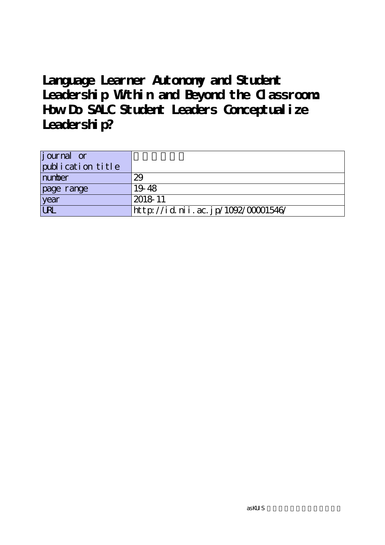# **Language Learner Autonomy and Student Leadership Within and Beyond the Classroom: How Do SALC Student Leaders Conceptualize Leadership?**

| journal or        |                                    |
|-------------------|------------------------------------|
| publication title |                                    |
| number            | 29                                 |
| page range        | 19.48                              |
| year              | 2018-11                            |
| <b>LRL</b>        | http://id.nii.ac.jp/1092/00001546/ |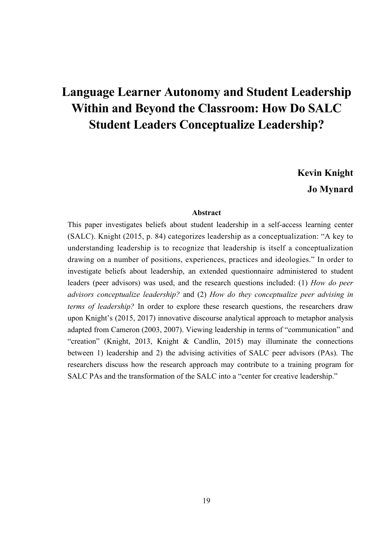# **Language Learner Autonomy and Student Leadership Within and Beyond the Classroom: How Do SALC Student Leaders Conceptualize Leadership?**

**Kevin Knight Jo Mynard** 

#### **Abstract**

This paper investigates beliefs about student leadership in a self-access learning center (SALC). Knight (2015, p. 84) categorizes leadership as a conceptualization: "A key to understanding leadership is to recognize that leadership is itself a conceptualization drawing on a number of positions, experiences, practices and ideologies." In order to investigate beliefs about leadership, an extended questionnaire administered to student leaders (peer advisors) was used, and the research questions included: (1) *How do peer advisors conceptualize leadership?* and (2) *How do they conceptualize peer advising in terms of leadership?* In order to explore these research questions, the researchers draw upon Knight's (2015, 2017) innovative discourse analytical approach to metaphor analysis adapted from Cameron (2003, 2007). Viewing leadership in terms of "communication" and "creation" (Knight, 2013, Knight & Candlin, 2015) may illuminate the connections between 1) leadership and 2) the advising activities of SALC peer advisors (PAs). The researchers discuss how the research approach may contribute to a training program for SALC PAs and the transformation of the SALC into a "center for creative leadership."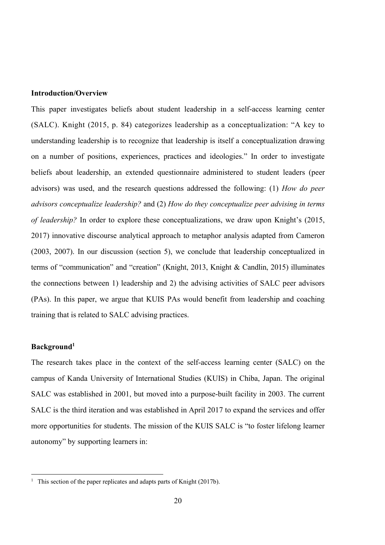## **Introduction/Overview**

This paper investigates beliefs about student leadership in a self-access learning center (SALC). Knight (2015, p. 84) categorizes leadership as a conceptualization: "A key to understanding leadership is to recognize that leadership is itself a conceptualization drawing on a number of positions, experiences, practices and ideologies." In order to investigate beliefs about leadership, an extended questionnaire administered to student leaders (peer advisors) was used, and the research questions addressed the following: (1) *How do peer advisors conceptualize leadership?* and (2) *How do they conceptualize peer advising in terms of leadership?* In order to explore these conceptualizations, we draw upon Knight's (2015, 2017) innovative discourse analytical approach to metaphor analysis adapted from Cameron (2003, 2007). In our discussion (section 5), we conclude that leadership conceptualized in terms of "communication" and "creation" (Knight, 2013, Knight & Candlin, 2015) illuminates the connections between 1) leadership and 2) the advising activities of SALC peer advisors (PAs). In this paper, we argue that KUIS PAs would benefit from leadership and coaching training that is related to SALC advising practices.

#### **Background1**

j

The research takes place in the context of the self-access learning center (SALC) on the campus of Kanda University of International Studies (KUIS) in Chiba, Japan. The original SALC was established in 2001, but moved into a purpose-built facility in 2003. The current SALC is the third iteration and was established in April 2017 to expand the services and offer more opportunities for students. The mission of the KUIS SALC is "to foster lifelong learner autonomy" by supporting learners in:

<sup>&</sup>lt;sup>1</sup> This section of the paper replicates and adapts parts of Knight (2017b).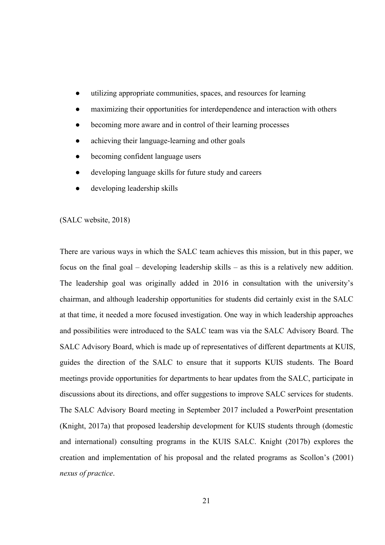- utilizing appropriate communities, spaces, and resources for learning
- maximizing their opportunities for interdependence and interaction with others
- becoming more aware and in control of their learning processes
- achieving their language-learning and other goals
- becoming confident language users
- developing language skills for future study and careers
- developing leadership skills

## (SALC website, 2018)

There are various ways in which the SALC team achieves this mission, but in this paper, we focus on the final goal – developing leadership skills – as this is a relatively new addition. The leadership goal was originally added in 2016 in consultation with the university's chairman, and although leadership opportunities for students did certainly exist in the SALC at that time, it needed a more focused investigation. One way in which leadership approaches and possibilities were introduced to the SALC team was via the SALC Advisory Board. The SALC Advisory Board, which is made up of representatives of different departments at KUIS, guides the direction of the SALC to ensure that it supports KUIS students. The Board meetings provide opportunities for departments to hear updates from the SALC, participate in discussions about its directions, and offer suggestions to improve SALC services for students. The SALC Advisory Board meeting in September 2017 included a PowerPoint presentation (Knight, 2017a) that proposed leadership development for KUIS students through (domestic and international) consulting programs in the KUIS SALC. Knight (2017b) explores the creation and implementation of his proposal and the related programs as Scollon's (2001) *nexus of practice*.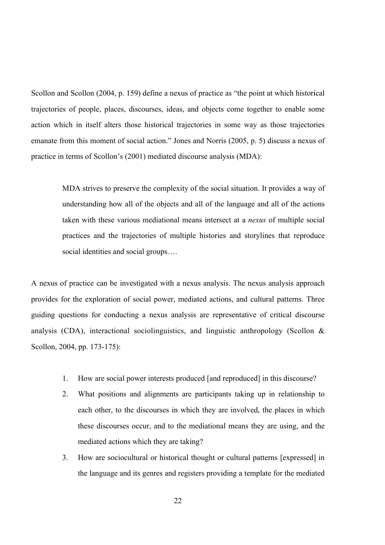Scollon and Scollon (2004, p. 159) define a nexus of practice as "the point at which historical trajectories of people, places, discourses, ideas, and objects come together to enable some action which in itself alters those historical trajectories in some way as those trajectories emanate from this moment of social action." Jones and Norris (2005, p. 5) discuss a nexus of practice in terms of Scollon's (2001) mediated discourse analysis (MDA):

> MDA strives to preserve the complexity of the social situation. It provides a way of understanding how all of the objects and all of the language and all of the actions taken with these various mediational means intersect at a *nexus* of multiple social practices and the trajectories of multiple histories and storylines that reproduce social identities and social groups….

A nexus of practice can be investigated with a nexus analysis. The nexus analysis approach provides for the exploration of social power, mediated actions, and cultural patterns. Three guiding questions for conducting a nexus analysis are representative of critical discourse analysis (CDA), interactional sociolinguistics, and linguistic anthropology (Scollon  $&$ Scollon, 2004, pp. 173-175):

- 1. How are social power interests produced [and reproduced] in this discourse?
- 2. What positions and alignments are participants taking up in relationship to each other, to the discourses in which they are involved, the places in which these discourses occur, and to the mediational means they are using, and the mediated actions which they are taking?
- 3. How are sociocultural or historical thought or cultural patterns [expressed] in the language and its genres and registers providing a template for the mediated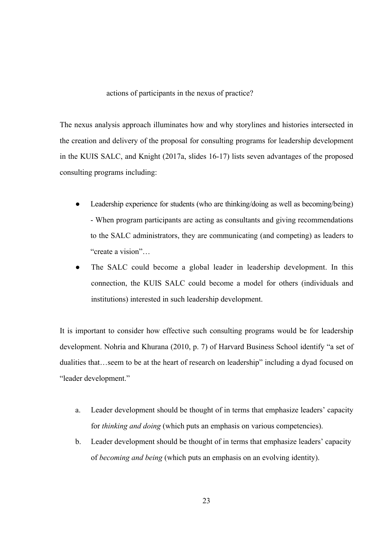actions of participants in the nexus of practice?

The nexus analysis approach illuminates how and why storylines and histories intersected in the creation and delivery of the proposal for consulting programs for leadership development in the KUIS SALC, and Knight (2017a, slides 16-17) lists seven advantages of the proposed consulting programs including:

- Leadership experience for students (who are thinking/doing as well as becoming/being) - When program participants are acting as consultants and giving recommendations to the SALC administrators, they are communicating (and competing) as leaders to "create a vision"…
- The SALC could become a global leader in leadership development. In this connection, the KUIS SALC could become a model for others (individuals and institutions) interested in such leadership development.

It is important to consider how effective such consulting programs would be for leadership development. Nohria and Khurana (2010, p. 7) of Harvard Business School identify "a set of dualities that…seem to be at the heart of research on leadership" including a dyad focused on "leader development."

- a. Leader development should be thought of in terms that emphasize leaders' capacity for *thinking and doing* (which puts an emphasis on various competencies).
- b. Leader development should be thought of in terms that emphasize leaders' capacity of *becoming and being* (which puts an emphasis on an evolving identity).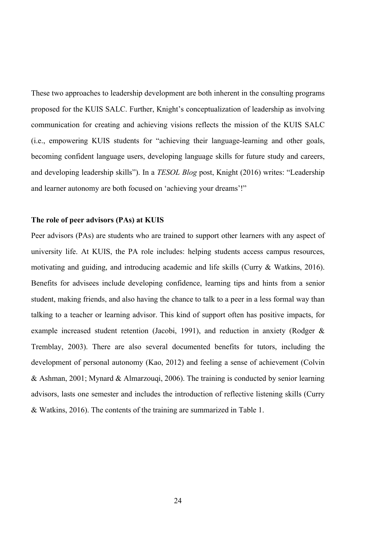These two approaches to leadership development are both inherent in the consulting programs proposed for the KUIS SALC. Further, Knight's conceptualization of leadership as involving communication for creating and achieving visions reflects the mission of the KUIS SALC (i.e., empowering KUIS students for "achieving their language-learning and other goals, becoming confident language users, developing language skills for future study and careers, and developing leadership skills"). In a *TESOL Blog* post, Knight (2016) writes: "Leadership and learner autonomy are both focused on 'achieving your dreams'!"

#### **The role of peer advisors (PAs) at KUIS**

Peer advisors (PAs) are students who are trained to support other learners with any aspect of university life. At KUIS, the PA role includes: helping students access campus resources, motivating and guiding, and introducing academic and life skills (Curry & Watkins, 2016). Benefits for advisees include developing confidence, learning tips and hints from a senior student, making friends, and also having the chance to talk to a peer in a less formal way than talking to a teacher or learning advisor. This kind of support often has positive impacts, for example increased student retention (Jacobi, 1991), and reduction in anxiety (Rodger & Tremblay, 2003). There are also several documented benefits for tutors, including the development of personal autonomy (Kao, 2012) and feeling a sense of achievement (Colvin & Ashman, 2001; Mynard & Almarzouqi, 2006). The training is conducted by senior learning advisors, lasts one semester and includes the introduction of reflective listening skills (Curry & Watkins, 2016). The contents of the training are summarized in Table 1.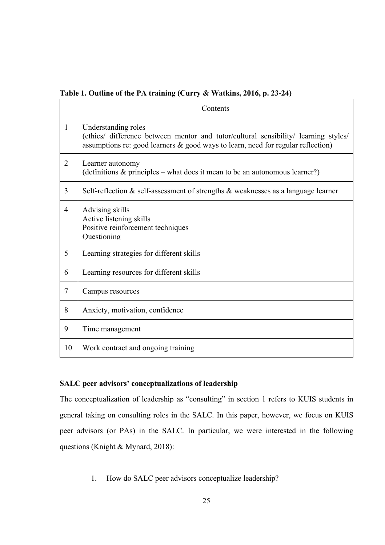**Table 1. Outline of the PA training (Curry & Watkins, 2016, p. 23-24)** 

|    | Contents                                                                                                                                                                                          |  |
|----|---------------------------------------------------------------------------------------------------------------------------------------------------------------------------------------------------|--|
| 1  | Understanding roles<br>(ethics/ difference between mentor and tutor/cultural sensibility/ learning styles/<br>assumptions re: good learners $\&$ good ways to learn, need for regular reflection) |  |
| 2  | Learner autonomy<br>(definitions $&$ principles – what does it mean to be an autonomous learner?)                                                                                                 |  |
| 3  | Self-reflection & self-assessment of strengths & weaknesses as a language learner                                                                                                                 |  |
| 4  | Advising skills<br>Active listening skills<br>Positive reinforcement techniques<br>Ouestioning                                                                                                    |  |
| 5  | Learning strategies for different skills                                                                                                                                                          |  |
| 6  | Learning resources for different skills                                                                                                                                                           |  |
| 7  | Campus resources                                                                                                                                                                                  |  |
| 8  | Anxiety, motivation, confidence                                                                                                                                                                   |  |
| 9  | Time management                                                                                                                                                                                   |  |
| 10 | Work contract and ongoing training                                                                                                                                                                |  |

## **SALC peer advisors' conceptualizations of leadership**

The conceptualization of leadership as "consulting" in section 1 refers to KUIS students in general taking on consulting roles in the SALC. In this paper, however, we focus on KUIS peer advisors (or PAs) in the SALC. In particular, we were interested in the following questions (Knight & Mynard, 2018):

1. How do SALC peer advisors conceptualize leadership?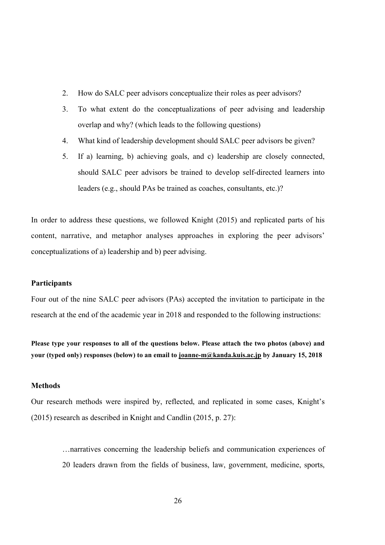- 2. How do SALC peer advisors conceptualize their roles as peer advisors?
- 3. To what extent do the conceptualizations of peer advising and leadership overlap and why? (which leads to the following questions)
- 4. What kind of leadership development should SALC peer advisors be given?
- 5. If a) learning, b) achieving goals, and c) leadership are closely connected, should SALC peer advisors be trained to develop self-directed learners into leaders (e.g., should PAs be trained as coaches, consultants, etc.)?

In order to address these questions, we followed Knight (2015) and replicated parts of his content, narrative, and metaphor analyses approaches in exploring the peer advisors' conceptualizations of a) leadership and b) peer advising.

#### **Participants**

Four out of the nine SALC peer advisors (PAs) accepted the invitation to participate in the research at the end of the academic year in 2018 and responded to the following instructions:

**Please type your responses to all of the questions below. Please attach the two photos (above) and your (typed only) responses (below) to an email to joanne-m@kanda.kuis.ac.jp by January 15, 2018** 

#### **Methods**

Our research methods were inspired by, reflected, and replicated in some cases, Knight's (2015) research as described in Knight and Candlin (2015, p. 27):

> …narratives concerning the leadership beliefs and communication experiences of 20 leaders drawn from the fields of business, law, government, medicine, sports,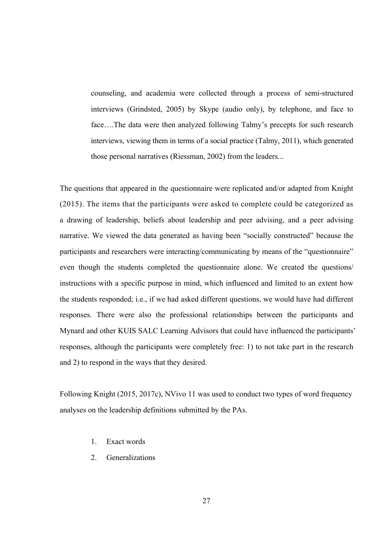counseling, and academia were collected through a process of semi-structured interviews (Grindsted, 2005) by Skype (audio only), by telephone, and face to face….The data were then analyzed following Talmy's precepts for such research interviews, viewing them in terms of a social practice (Talmy, 2011), which generated those personal narratives (Riessman, 2002) from the leaders...

The questions that appeared in the questionnaire were replicated and/or adapted from Knight (2015). The items that the participants were asked to complete could be categorized as a drawing of leadership, beliefs about leadership and peer advising, and a peer advising narrative. We viewed the data generated as having been "socially constructed" because the participants and researchers were interacting/communicating by means of the "questionnaire" even though the students completed the questionnaire alone. We created the questions/ instructions with a specific purpose in mind, which influenced and limited to an extent how the students responded; i.e., if we had asked different questions, we would have had different responses. There were also the professional relationships between the participants and Mynard and other KUIS SALC Learning Advisors that could have influenced the participants' responses, although the participants were completely free: 1) to not take part in the research and 2) to respond in the ways that they desired.

Following Knight (2015, 2017c), NVivo 11 was used to conduct two types of word frequency analyses on the leadership definitions submitted by the PAs.

- 1. Exact words
- 2. Generalizations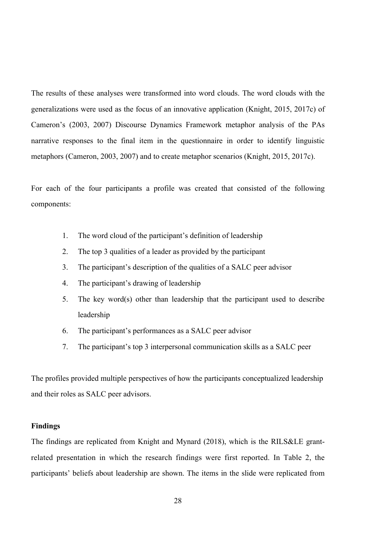The results of these analyses were transformed into word clouds. The word clouds with the generalizations were used as the focus of an innovative application (Knight, 2015, 2017c) of Cameron's (2003, 2007) Discourse Dynamics Framework metaphor analysis of the PAs narrative responses to the final item in the questionnaire in order to identify linguistic metaphors (Cameron, 2003, 2007) and to create metaphor scenarios (Knight, 2015, 2017c).

For each of the four participants a profile was created that consisted of the following components:

- 1. The word cloud of the participant's definition of leadership
- 2. The top 3 qualities of a leader as provided by the participant
- 3. The participant's description of the qualities of a SALC peer advisor
- 4. The participant's drawing of leadership
- 5. The key word(s) other than leadership that the participant used to describe leadership
- 6. The participant's performances as a SALC peer advisor
- 7. The participant's top 3 interpersonal communication skills as a SALC peer

The profiles provided multiple perspectives of how the participants conceptualized leadership and their roles as SALC peer advisors.

## **Findings**

The findings are replicated from Knight and Mynard (2018), which is the RILS&LE grantrelated presentation in which the research findings were first reported. In Table 2, the participants' beliefs about leadership are shown. The items in the slide were replicated from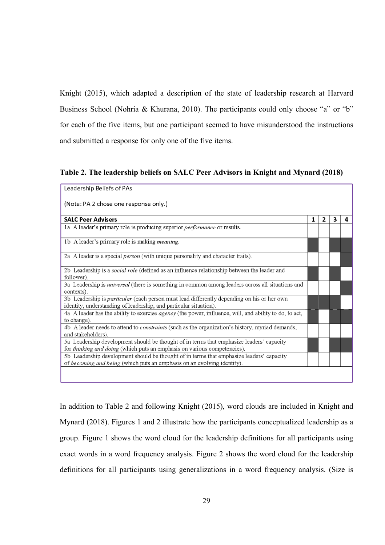Knight (2015), which adapted a description of the state of leadership research at Harvard Business School (Nohria & Khurana, 2010). The participants could only choose "a" or "b" for each of the five items, but one participant seemed to have misunderstood the instructions and submitted a response for only one of the five items.

#### **Table 2. The leadership beliefs on SALC Peer Advisors in Knight and Mynard (2018)**

| Leadership Beliefs of PAs                                                                                                                                                   |   |                |   |   |
|-----------------------------------------------------------------------------------------------------------------------------------------------------------------------------|---|----------------|---|---|
| (Note: PA 2 chose one response only.)                                                                                                                                       |   |                |   |   |
| <b>SALC Peer Advisers</b>                                                                                                                                                   | 1 | $\overline{2}$ | 3 | 4 |
| 1a A leader's primary role is producing superior <i>performance</i> or results.                                                                                             |   |                |   |   |
| 1b A leader's primary role is making <i>meaning</i> .                                                                                                                       |   |                |   |   |
| 2a A leader is a special <i>person</i> (with unique personality and character traits).                                                                                      |   |                |   |   |
| 2b Leadership is a <i>social role</i> (defined as an influence relationship between the leader and<br>follower).                                                            |   |                |   |   |
| 3a Leadership is <i>universal</i> (there is something in common among leaders across all situations and<br>contexts).                                                       |   |                |   |   |
| 3b Leadership is <i>particular</i> (each person must lead differently depending on his or her own<br>identity, understanding of leadership, and particular situation).      |   |                |   |   |
| 4a A leader has the ability to exercise <i>agency</i> (the power, influence, will, and ability to do, to act,<br>to change).                                                |   |                |   |   |
| 4b A leader needs to attend to <i>constraints</i> (such as the organization's history, myriad demands,<br>and stakeholders).                                                |   |                |   |   |
| 5a Leadership development should be thought of in terms that emphasize leaders' capacity<br>for <i>thinking and doing</i> (which puts an emphasis on various competencies). |   |                |   |   |
| 5b Leadership development should be thought of in terms that emphasize leaders' capacity<br>of <i>becoming and being</i> (which puts an emphasis on an evolving identity).  |   |                |   |   |
|                                                                                                                                                                             |   |                |   |   |

In addition to Table 2 and following Knight (2015), word clouds are included in Knight and Mynard (2018). Figures 1 and 2 illustrate how the participants conceptualized leadership as a group. Figure 1 shows the word cloud for the leadership definitions for all participants using exact words in a word frequency analysis. Figure 2 shows the word cloud for the leadership definitions for all participants using generalizations in a word frequency analysis. (Size is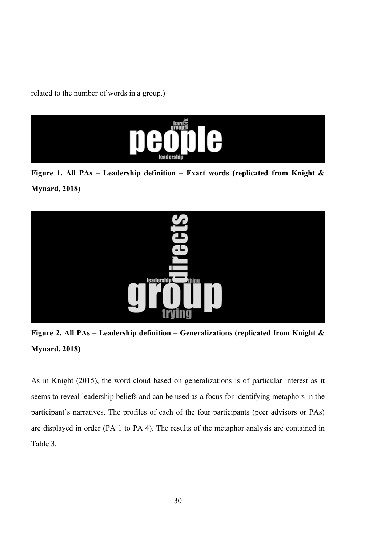related to the number of words in a group.)



**Figure 1. All PAs – Leadership definition – Exact words (replicated from Knight & Mynard, 2018)** 



**Figure 2. All PAs – Leadership definition – Generalizations (replicated from Knight & Mynard, 2018)** 

As in Knight (2015), the word cloud based on generalizations is of particular interest as it seems to reveal leadership beliefs and can be used as a focus for identifying metaphors in the participant's narratives. The profiles of each of the four participants (peer advisors or PAs) are displayed in order (PA 1 to PA 4). The results of the metaphor analysis are contained in Table 3.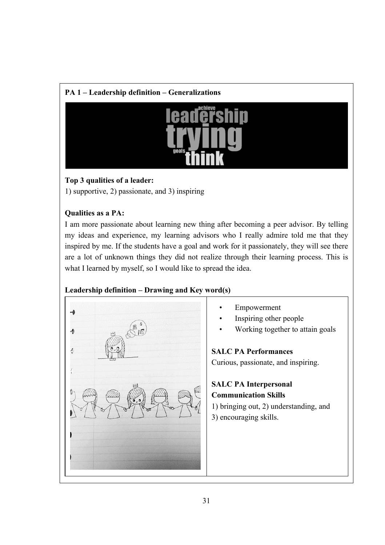# **PA 1 – Leadership definition – Generalizations**

# **Top 3 qualities of a leader:**

1) supportive, 2) passionate, and 3) inspiring

# **Qualities as a PA:**

I am more passionate about learning new thing after becoming a peer advisor. By telling my ideas and experience, my learning advisors who I really admire told me that they inspired by me. If the students have a goal and work for it passionately, they will see there are a lot of unknown things they did not realize through their learning process. This is what I learned by myself, so I would like to spread the idea.

# **Leadership definition – Drawing and Key word(s)**

| Empowerment<br>Inspiring other people<br>Working together to attain goals<br><b>SALC PA Performances</b><br>Curious, passionate, and inspiring. |
|-------------------------------------------------------------------------------------------------------------------------------------------------|
| <b>SALC PA Interpersonal</b><br><b>Communication Skills</b><br>1) bringing out, 2) understanding, and<br>3) encouraging skills.                 |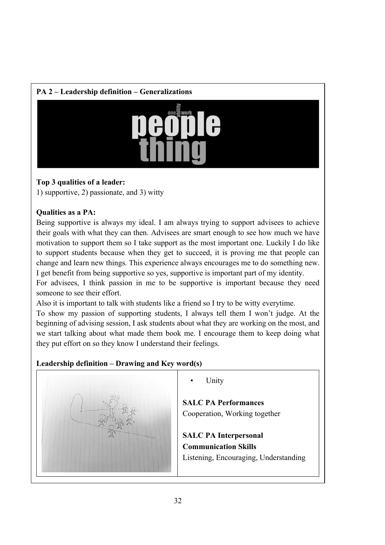# **PA 2 – Leadership definition – Generalizations**



# **Top 3 qualities of a leader:**

1) supportive, 2) passionate, and 3) witty

# **Qualities as a PA:**

Being supportive is always my ideal. I am always trying to support advisees to achieve their goals with what they can then. Advisees are smart enough to see how much we have motivation to support them so I take support as the most important one. Luckily I do like to support students because when they get to succeed, it is proving me that people can change and learn new things. This experience always encourages me to do something new. I get benefit from being supportive so yes, supportive is important part of my identity.

For advisees, I think passion in me to be supportive is important because they need someone to see their effort.

Also it is important to talk with students like a friend so I try to be witty everytime.

To show my passion of supporting students, I always tell them I won't judge. At the beginning of advising session, I ask students about what they are working on the most, and we start talking about what made them book me. I encourage them to keep doing what they put effort on so they know I understand their feelings.

# **Leadership definition – Drawing and Key word(s)**



• Unity

**SALC PA Performances** Cooperation, Working together

**SALC PA Interpersonal Communication Skills** Listening, Encouraging, Understanding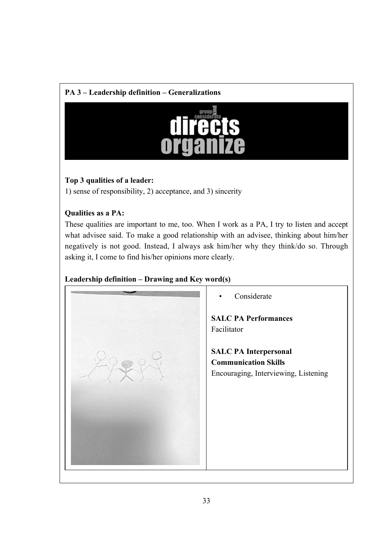# **PA 3 – Leadership definition – Generalizations**



# **Top 3 qualities of a leader:**

1) sense of responsibility, 2) acceptance, and 3) sincerity

# **Qualities as a PA:**

These qualities are important to me, too. When I work as a PA, I try to listen and accept what advisee said. To make a good relationship with an advisee, thinking about him/her negatively is not good. Instead, I always ask him/her why they think/do so. Through asking it, I come to find his/her opinions more clearly.

# **Leadership definition – Drawing and Key word(s)**

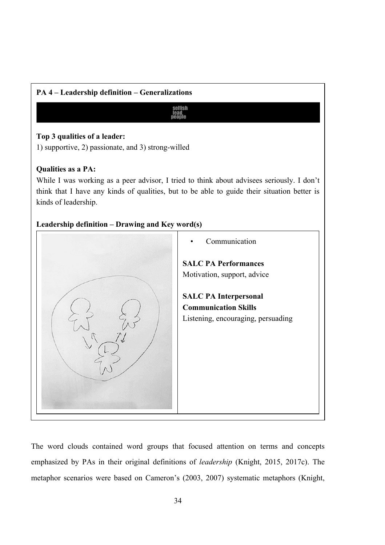# **PA 4 – Leadership definition – Generalizations**

selfish<br>lead<br>people

# **Top 3 qualities of a leader:**

1) supportive, 2) passionate, and 3) strong-willed

# **Qualities as a PA:**

While I was working as a peer advisor, I tried to think about advisees seriously. I don't think that I have any kinds of qualities, but to be able to guide their situation better is kinds of leadership.

# **Leadership definition – Drawing and Key word(s)**



The word clouds contained word groups that focused attention on terms and concepts emphasized by PAs in their original definitions of *leadership* (Knight, 2015, 2017c). The metaphor scenarios were based on Cameron's (2003, 2007) systematic metaphors (Knight,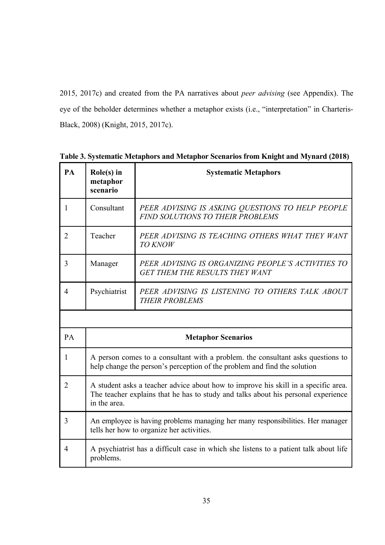2015, 2017c) and created from the PA narratives about *peer advising* (see Appendix). The eye of the beholder determines whether a metaphor exists (i.e., "interpretation" in Charteris-Black, 2008) (Knight, 2015, 2017c).

| PA             | $\text{Role}(s)$ in<br>metaphor<br>scenario                                                                                                                                             | <b>Systematic Metaphors</b>                                                                 |
|----------------|-----------------------------------------------------------------------------------------------------------------------------------------------------------------------------------------|---------------------------------------------------------------------------------------------|
| $\mathbf{1}$   | Consultant                                                                                                                                                                              | PEER ADVISING IS ASKING OUESTIONS TO HELP PEOPLE<br><b>FIND SOLUTIONS TO THEIR PROBLEMS</b> |
| $\overline{c}$ | Teacher                                                                                                                                                                                 | PEER ADVISING IS TEACHING OTHERS WHAT THEY WANT<br><b>TO KNOW</b>                           |
| 3              | Manager                                                                                                                                                                                 | PEER ADVISING IS ORGANIZING PEOPLE'S ACTIVITIES TO<br><b>GET THEM THE RESULTS THEY WANT</b> |
| 4              | Psychiatrist                                                                                                                                                                            | PEER ADVISING IS LISTENING TO OTHERS TALK ABOUT<br><b>THEIR PROBLEMS</b>                    |
|                |                                                                                                                                                                                         |                                                                                             |
| PA             | <b>Metaphor Scenarios</b>                                                                                                                                                               |                                                                                             |
| 1              | A person comes to a consultant with a problem, the consultant asks questions to<br>help change the person's perception of the problem and find the solution                             |                                                                                             |
| $\overline{2}$ | A student asks a teacher advice about how to improve his skill in a specific area.<br>The teacher explains that he has to study and talks about his personal experience<br>in the area. |                                                                                             |
| 3              | An employee is having problems managing her many responsibilities. Her manager<br>tells her how to organize her activities.                                                             |                                                                                             |
| $\overline{4}$ | A psychiatrist has a difficult case in which she listens to a patient talk about life<br>problems.                                                                                      |                                                                                             |

**Table 3. Systematic Metaphors and Metaphor Scenarios from Knight and Mynard (2018)**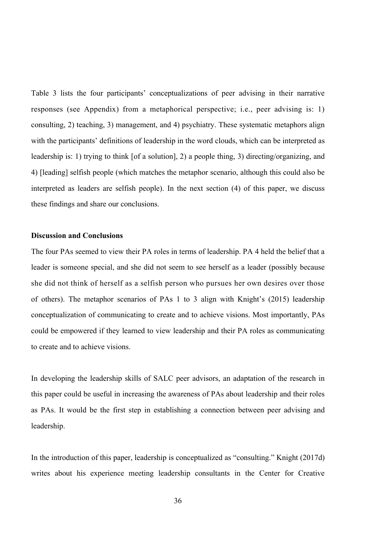Table 3 lists the four participants' conceptualizations of peer advising in their narrative responses (see Appendix) from a metaphorical perspective; i.e., peer advising is: 1) consulting, 2) teaching, 3) management, and 4) psychiatry. These systematic metaphors align with the participants' definitions of leadership in the word clouds, which can be interpreted as leadership is: 1) trying to think [of a solution], 2) a people thing, 3) directing/organizing, and 4) [leading] selfish people (which matches the metaphor scenario, although this could also be interpreted as leaders are selfish people). In the next section (4) of this paper, we discuss these findings and share our conclusions.

#### **Discussion and Conclusions**

The four PAs seemed to view their PA roles in terms of leadership. PA 4 held the belief that a leader is someone special, and she did not seem to see herself as a leader (possibly because she did not think of herself as a selfish person who pursues her own desires over those of others). The metaphor scenarios of PAs 1 to 3 align with Knight's (2015) leadership conceptualization of communicating to create and to achieve visions. Most importantly, PAs could be empowered if they learned to view leadership and their PA roles as communicating to create and to achieve visions.

In developing the leadership skills of SALC peer advisors, an adaptation of the research in this paper could be useful in increasing the awareness of PAs about leadership and their roles as PAs. It would be the first step in establishing a connection between peer advising and leadership.

In the introduction of this paper, leadership is conceptualized as "consulting." Knight (2017d) writes about his experience meeting leadership consultants in the Center for Creative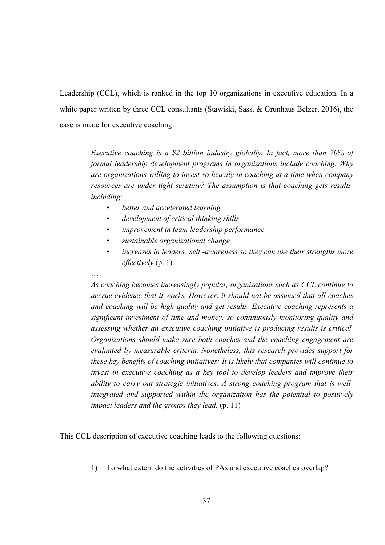Leadership (CCL), which is ranked in the top 10 organizations in executive education. In a white paper written by three CCL consultants (Stawiski, Sass, & Grunhaus Belzer, 2016), the case is made for executive coaching:

> *Executive coaching is a \$2 billion industry globally. In fact, more than 70% of formal leadership development programs in organizations include coaching. Why are organizations willing to invest so heavily in coaching at a time when company resources are under tight scrutiny? The assumption is that coaching gets results, including:*

- *better and accelerated learning*
- *development of critical thinking skills*
- *improvement in team leadership performance*
- *sustainable organizational change*

…

*• increases in leaders' self -awareness so they can use their strengths more effectively* (p. 1)

*As coaching becomes increasingly popular, organizations such as CCL continue to accrue evidence that it works. However, it should not be assumed that all coaches and coaching will be high quality and get results. Executive coaching represents a significant investment of time and money, so continuously monitoring quality and assessing whether an executive coaching initiative is producing results is critical. Organizations should make sure both coaches and the coaching engagement are evaluated by measurable criteria. Nonetheless, this research provides support for these key benefits of coaching initiatives: It is likely that companies will continue to invest in executive coaching as a key tool to develop leaders and improve their ability to carry out strategic initiatives. A strong coaching program that is wellintegrated and supported within the organization has the potential to positively impact leaders and the groups they lead.* (p. 11)

This CCL description of executive coaching leads to the following questions:

1) To what extent do the activities of PAs and executive coaches overlap?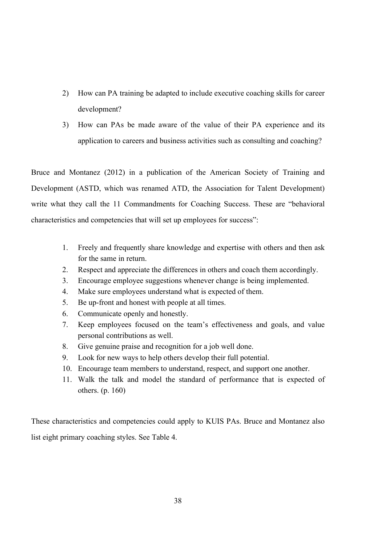- 2) How can PA training be adapted to include executive coaching skills for career development?
- 3) How can PAs be made aware of the value of their PA experience and its application to careers and business activities such as consulting and coaching?

Bruce and Montanez (2012) in a publication of the American Society of Training and Development (ASTD, which was renamed ATD, the Association for Talent Development) write what they call the 11 Commandments for Coaching Success. These are "behavioral characteristics and competencies that will set up employees for success":

- 1. Freely and frequently share knowledge and expertise with others and then ask for the same in return.
- 2. Respect and appreciate the differences in others and coach them accordingly.
- 3. Encourage employee suggestions whenever change is being implemented.
- 4. Make sure employees understand what is expected of them.
- 5. Be up-front and honest with people at all times.
- 6. Communicate openly and honestly.
- 7. Keep employees focused on the team's effectiveness and goals, and value personal contributions as well.
- 8. Give genuine praise and recognition for a job well done.
- 9. Look for new ways to help others develop their full potential.
- 10. Encourage team members to understand, respect, and support one another.
- 11. Walk the talk and model the standard of performance that is expected of others. (p. 160)

These characteristics and competencies could apply to KUIS PAs. Bruce and Montanez also list eight primary coaching styles. See Table 4.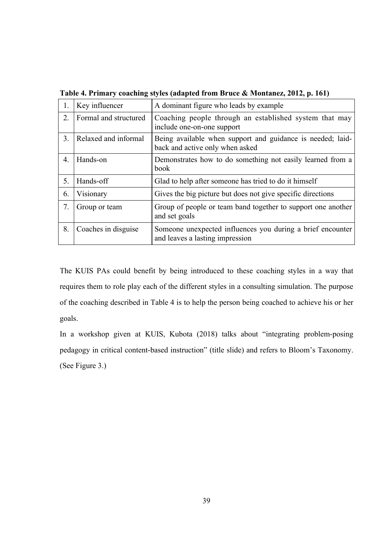| 1.               | Key influencer        | A dominant figure who leads by example                                                        |
|------------------|-----------------------|-----------------------------------------------------------------------------------------------|
| $\mathfrak{2}$ . | Formal and structured | Coaching people through an established system that may<br>include one-on-one support          |
| 3.               | Relaxed and informal  | Being available when support and guidance is needed; laid-<br>back and active only when asked |
| $4_{\cdot}$      | Hands-on              | Demonstrates how to do something not easily learned from a<br><b>book</b>                     |
| 5.               | Hands-off             | Glad to help after someone has tried to do it himself                                         |
| 6.               | Visionary             | Gives the big picture but does not give specific directions                                   |
| 7.               | Group or team         | Group of people or team band together to support one another<br>and set goals                 |
| 8.               | Coaches in disguise   | Someone unexpected influences you during a brief encounter<br>and leaves a lasting impression |

**Table 4. Primary coaching styles (adapted from Bruce & Montanez, 2012, p. 161)** 

The KUIS PAs could benefit by being introduced to these coaching styles in a way that requires them to role play each of the different styles in a consulting simulation. The purpose of the coaching described in Table 4 is to help the person being coached to achieve his or her goals.

In a workshop given at KUIS, Kubota (2018) talks about "integrating problem-posing pedagogy in critical content-based instruction" (title slide) and refers to Bloom's Taxonomy. (See Figure 3.)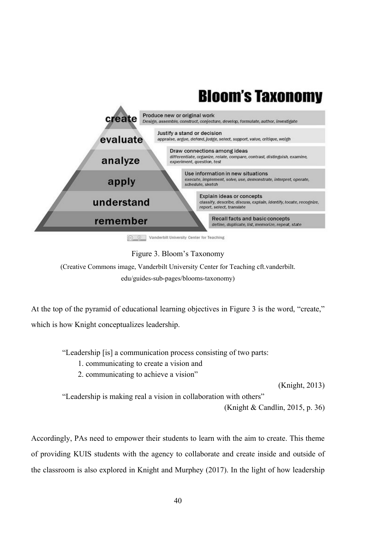# **Bloom's Taxonomy**



# Figure 3. Bloom's Taxonomy

(Creative Commons image, Vanderbilt University Center for Teaching cft.vanderbilt. edu/guides-sub-pages/blooms-taxonomy)

At the top of the pyramid of educational learning objectives in Figure 3 is the word, "create," which is how Knight conceptualizes leadership.

"Leadership [is] a communication process consisting of two parts:

- 1. communicating to create a vision and
- 2. communicating to achieve a vision"

(Knight, 2013)

"Leadership is making real a vision in collaboration with others"

(Knight & Candlin, 2015, p. 36)

Accordingly, PAs need to empower their students to learn with the aim to create. This theme of providing KUIS students with the agency to collaborate and create inside and outside of the classroom is also explored in Knight and Murphey (2017). In the light of how leadership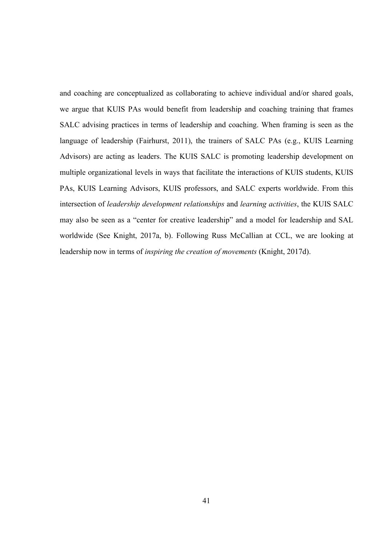and coaching are conceptualized as collaborating to achieve individual and/or shared goals, we argue that KUIS PAs would benefit from leadership and coaching training that frames SALC advising practices in terms of leadership and coaching. When framing is seen as the language of leadership (Fairhurst, 2011), the trainers of SALC PAs (e.g., KUIS Learning Advisors) are acting as leaders. The KUIS SALC is promoting leadership development on multiple organizational levels in ways that facilitate the interactions of KUIS students, KUIS PAs, KUIS Learning Advisors, KUIS professors, and SALC experts worldwide. From this intersection of *leadership development relationships* and *learning activities*, the KUIS SALC may also be seen as a "center for creative leadership" and a model for leadership and SAL worldwide (See Knight, 2017a, b). Following Russ McCallian at CCL, we are looking at leadership now in terms of *inspiring the creation of movements* (Knight, 2017d).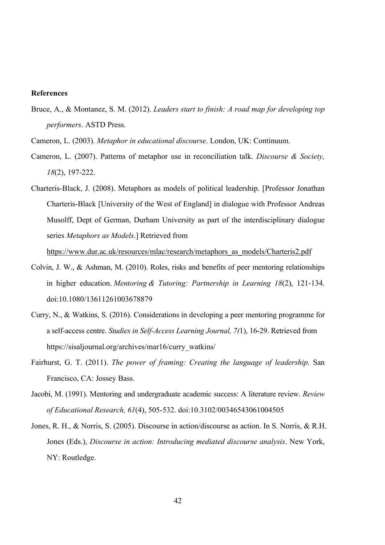#### **References**

Bruce, A., & Montanez, S. M. (2012). *Leaders start to finish: A road map for developing top performers*. ASTD Press.

Cameron, L. (2003). *Metaphor in educational discourse*. London, UK: Continuum.

- Cameron, L. (2007). Patterns of metaphor use in reconciliation talk. *Discourse & Society, 18*(2), 197-222.
- Charteris-Black, J. (2008). Metaphors as models of political leadership. [Professor Jonathan Charteris-Black [University of the West of England] in dialogue with Professor Andreas Musolff, Dept of German, Durham University as part of the interdisciplinary dialogue series *Metaphors as Models*.] Retrieved from

https://www.dur.ac.uk/resources/mlac/research/metaphors\_as\_models/Charteris2.pdf

- Colvin, J. W., & Ashman, M. (2010). Roles, risks and benefits of peer mentoring relationships in higher education. *Mentoring & Tutoring: Partnership in Learning 18*(2), 121-134. doi:10.1080/13611261003678879
- Curry, N., & Watkins, S. (2016). Considerations in developing a peer mentoring programme for a self-access centre. *Studies in Self-Access Learning Journal, 7(*1), 16-29. Retrieved from https://sisaljournal.org/archives/mar16/curry\_watkins/
- Fairhurst, G. T. (2011). *The power of framing: Creating the language of leadership*. San Francisco, CA: Jossey Bass.
- Jacobi, M. (1991). Mentoring and undergraduate academic success: A literature review. *Review of Educational Research, 61*(4), 505-532. doi:10.3102/00346543061004505
- Jones, R. H., & Norris, S. (2005). Discourse in action/discourse as action. In S. Norris, & R.H. Jones (Eds.), *Discourse in action: Introducing mediated discourse analysis*. New York, NY: Routledge.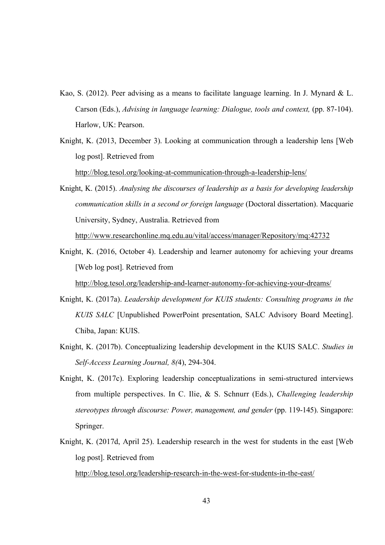- Kao, S. (2012). Peer advising as a means to facilitate language learning. In J. Mynard & L. Carson (Eds.), *Advising in language learning: Dialogue, tools and context,* (pp. 87-104). Harlow, UK: Pearson.
- Knight, K. (2013, December 3). Looking at communication through a leadership lens [Web log post]. Retrieved from

http://blog.tesol.org/looking-at-communication-through-a-leadership-lens/

Knight, K. (2015). *Analysing the discourses of leadership as a basis for developing leadership communication skills in a second or foreign language* (Doctoral dissertation). Macquarie University, Sydney, Australia. Retrieved from

http://www.researchonline.mq.edu.au/vital/access/manager/Repository/mq:42732

Knight, K. (2016, October 4). Leadership and learner autonomy for achieving your dreams [Web log post]. Retrieved from

http://blog.tesol.org/leadership-and-learner-autonomy-for-achieving-your-dreams/

- Knight, K. (2017a). *Leadership development for KUIS students: Consulting programs in the KUIS SALC* [Unpublished PowerPoint presentation, SALC Advisory Board Meeting]. Chiba, Japan: KUIS.
- Knight, K. (2017b). Conceptualizing leadership development in the KUIS SALC. *Studies in Self-Access Learning Journal, 8(*4), 294-304.
- Knight, K. (2017c). Exploring leadership conceptualizations in semi-structured interviews from multiple perspectives. In C. Ilie, & S. Schnurr (Eds.), *Challenging leadership stereotypes through discourse: Power, management, and gender* (pp. 119-145). Singapore: Springer.
- Knight, K. (2017d, April 25). Leadership research in the west for students in the east [Web log post]. Retrieved from

http://blog.tesol.org/leadership-research-in-the-west-for-students-in-the-east/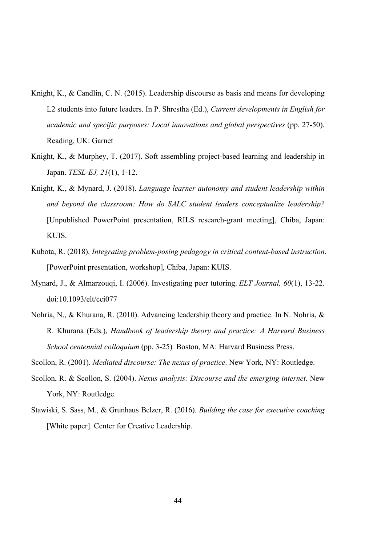- Knight, K., & Candlin, C. N. (2015). Leadership discourse as basis and means for developing L2 students into future leaders. In P. Shrestha (Ed.), *Current developments in English for academic and specific purposes: Local innovations and global perspectives* (pp. 27-50). Reading, UK: Garnet
- Knight, K., & Murphey, T. (2017). Soft assembling project-based learning and leadership in Japan. *TESL-EJ, 21*(1), 1-12.
- Knight, K., & Mynard, J. (2018). *Language learner autonomy and student leadership within and beyond the classroom: How do SALC student leaders conceptualize leadership?*  [Unpublished PowerPoint presentation, RILS research-grant meeting], Chiba, Japan: KUIS.
- Kubota, R. (2018). *Integrating problem-posing pedagogy in critical content-based instruction*. [PowerPoint presentation, workshop], Chiba, Japan: KUIS.
- Mynard, J., & Almarzouqi, I. (2006). Investigating peer tutoring. *ELT Journal, 60*(1), 13-22. doi:10.1093/elt/cci077
- Nohria, N., & Khurana, R. (2010). Advancing leadership theory and practice. In N. Nohria, & R. Khurana (Eds.), *Handbook of leadership theory and practice: A Harvard Business School centennial colloquium* (pp. 3-25)*.* Boston, MA: Harvard Business Press.
- Scollon, R. (2001). *Mediated discourse: The nexus of practice*. New York, NY: Routledge.
- Scollon, R. & Scollon, S. (2004). *Nexus analysis: Discourse and the emerging internet*. New York, NY: Routledge.
- Stawiski, S. Sass, M., & Grunhaus Belzer, R. (2016). *Building the case for executive coaching* [White paper]. Center for Creative Leadership.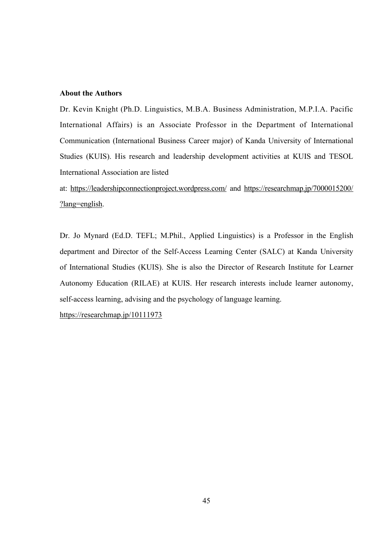#### **About the Authors**

Dr. Kevin Knight (Ph.D. Linguistics, M.B.A. Business Administration, M.P.I.A. Pacific International Affairs) is an Associate Professor in the Department of International Communication (International Business Career major) of Kanda University of International Studies (KUIS). His research and leadership development activities at KUIS and TESOL International Association are listed

at: https://leadershipconnectionproject.wordpress.com/ and https://researchmap.jp/7000015200/ ?lang=english.

Dr. Jo Mynard (Ed.D. TEFL; M.Phil., Applied Linguistics) is a Professor in the English department and Director of the Self-Access Learning Center (SALC) at Kanda University of International Studies (KUIS). She is also the Director of Research Institute for Learner Autonomy Education (RILAE) at KUIS. Her research interests include learner autonomy, self-access learning, advising and the psychology of language learning.

https://researchmap.jp/10111973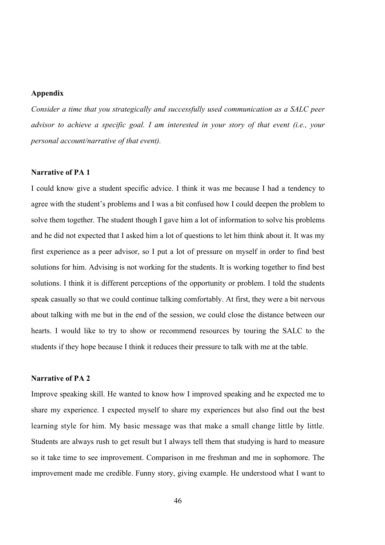#### **Appendix**

*Consider a time that you strategically and successfully used communication as a SALC peer advisor to achieve a specific goal. I am interested in your story of that event (i.e., your personal account/narrative of that event).*

# **Narrative of PA 1**

I could know give a student specific advice. I think it was me because I had a tendency to agree with the student's problems and I was a bit confused how I could deepen the problem to solve them together. The student though I gave him a lot of information to solve his problems and he did not expected that I asked him a lot of questions to let him think about it. It was my first experience as a peer advisor, so I put a lot of pressure on myself in order to find best solutions for him. Advising is not working for the students. It is working together to find best solutions. I think it is different perceptions of the opportunity or problem. I told the students speak casually so that we could continue talking comfortably. At first, they were a bit nervous about talking with me but in the end of the session, we could close the distance between our hearts. I would like to try to show or recommend resources by touring the SALC to the students if they hope because I think it reduces their pressure to talk with me at the table.

## **Narrative of PA 2**

Improve speaking skill. He wanted to know how I improved speaking and he expected me to share my experience. I expected myself to share my experiences but also find out the best learning style for him. My basic message was that make a small change little by little. Students are always rush to get result but I always tell them that studying is hard to measure so it take time to see improvement. Comparison in me freshman and me in sophomore. The improvement made me credible. Funny story, giving example. He understood what I want to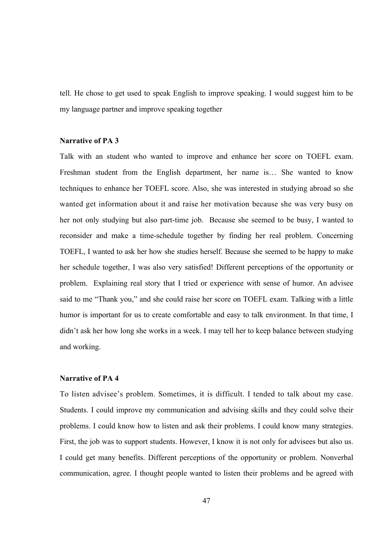tell. He chose to get used to speak English to improve speaking. I would suggest him to be my language partner and improve speaking together

#### **Narrative of PA 3**

Talk with an student who wanted to improve and enhance her score on TOEFL exam. Freshman student from the English department, her name is… She wanted to know techniques to enhance her TOEFL score. Also, she was interested in studying abroad so she wanted get information about it and raise her motivation because she was very busy on her not only studying but also part-time job. Because she seemed to be busy, I wanted to reconsider and make a time-schedule together by finding her real problem. Concerning TOEFL, I wanted to ask her how she studies herself. Because she seemed to be happy to make her schedule together, I was also very satisfied! Different perceptions of the opportunity or problem. Explaining real story that I tried or experience with sense of humor. An advisee said to me "Thank you," and she could raise her score on TOEFL exam. Talking with a little humor is important for us to create comfortable and easy to talk environment. In that time, I didn't ask her how long she works in a week. I may tell her to keep balance between studying and working.

#### **Narrative of PA 4**

To listen advisee's problem. Sometimes, it is difficult. I tended to talk about my case. Students. I could improve my communication and advising skills and they could solve their problems. I could know how to listen and ask their problems. I could know many strategies. First, the job was to support students. However, I know it is not only for advisees but also us. I could get many benefits. Different perceptions of the opportunity or problem. Nonverbal communication, agree. I thought people wanted to listen their problems and be agreed with